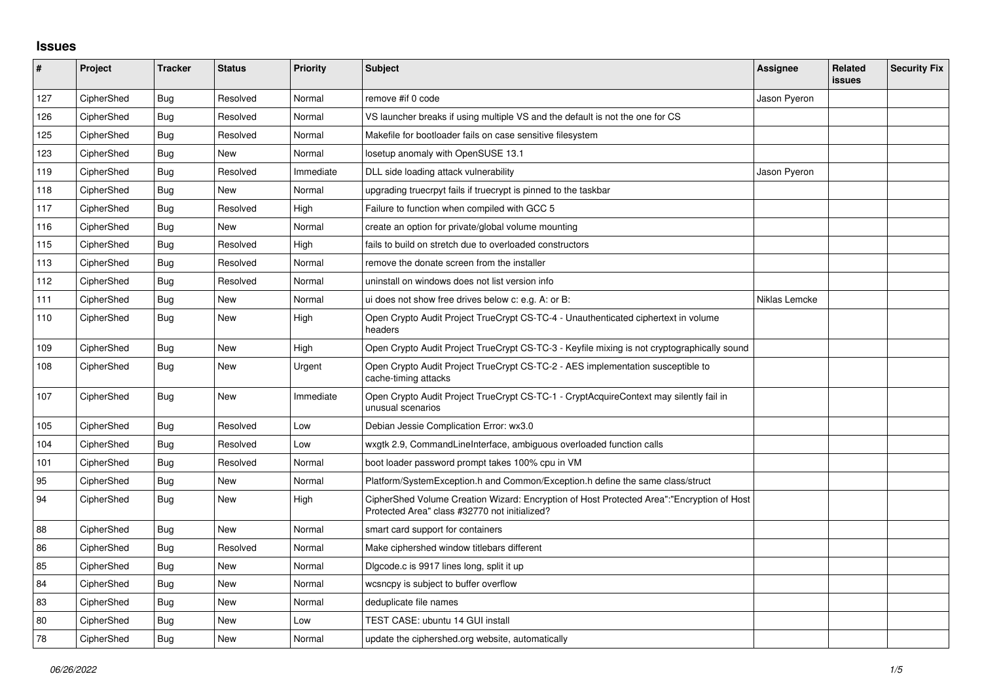## **Issues**

| $\pmb{\#}$ | Project    | <b>Tracker</b> | <b>Status</b> | Priority  | <b>Subject</b>                                                                                                                             | <b>Assignee</b> | Related<br>issues | <b>Security Fix</b> |
|------------|------------|----------------|---------------|-----------|--------------------------------------------------------------------------------------------------------------------------------------------|-----------------|-------------------|---------------------|
| 127        | CipherShed | <b>Bug</b>     | Resolved      | Normal    | remove #if 0 code                                                                                                                          | Jason Pyeron    |                   |                     |
| 126        | CipherShed | <b>Bug</b>     | Resolved      | Normal    | VS launcher breaks if using multiple VS and the default is not the one for CS                                                              |                 |                   |                     |
| 125        | CipherShed | Bug            | Resolved      | Normal    | Makefile for bootloader fails on case sensitive filesystem                                                                                 |                 |                   |                     |
| 123        | CipherShed | Bug            | New           | Normal    | losetup anomaly with OpenSUSE 13.1                                                                                                         |                 |                   |                     |
| 119        | CipherShed | <b>Bug</b>     | Resolved      | Immediate | DLL side loading attack vulnerability                                                                                                      | Jason Pyeron    |                   |                     |
| 118        | CipherShed | Bug            | <b>New</b>    | Normal    | upgrading truecrpyt fails if truecrypt is pinned to the taskbar                                                                            |                 |                   |                     |
| 117        | CipherShed | Bug            | Resolved      | High      | Failure to function when compiled with GCC 5                                                                                               |                 |                   |                     |
| 116        | CipherShed | <b>Bug</b>     | New           | Normal    | create an option for private/global volume mounting                                                                                        |                 |                   |                     |
| 115        | CipherShed | <b>Bug</b>     | Resolved      | High      | fails to build on stretch due to overloaded constructors                                                                                   |                 |                   |                     |
| 113        | CipherShed | Bug            | Resolved      | Normal    | remove the donate screen from the installer                                                                                                |                 |                   |                     |
| 112        | CipherShed | Bug            | Resolved      | Normal    | uninstall on windows does not list version info                                                                                            |                 |                   |                     |
| 111        | CipherShed | Bug            | New           | Normal    | ui does not show free drives below c: e.g. A: or B:                                                                                        | Niklas Lemcke   |                   |                     |
| 110        | CipherShed | <b>Bug</b>     | New           | High      | Open Crypto Audit Project TrueCrypt CS-TC-4 - Unauthenticated ciphertext in volume<br>headers                                              |                 |                   |                     |
| 109        | CipherShed | <b>Bug</b>     | <b>New</b>    | High      | Open Crypto Audit Project TrueCrypt CS-TC-3 - Keyfile mixing is not cryptographically sound                                                |                 |                   |                     |
| 108        | CipherShed | Bug            | New           | Urgent    | Open Crypto Audit Project TrueCrypt CS-TC-2 - AES implementation susceptible to<br>cache-timing attacks                                    |                 |                   |                     |
| 107        | CipherShed | Bug            | New           | Immediate | Open Crypto Audit Project TrueCrypt CS-TC-1 - CryptAcquireContext may silently fail in<br>unusual scenarios                                |                 |                   |                     |
| 105        | CipherShed | Bug            | Resolved      | Low       | Debian Jessie Complication Error: wx3.0                                                                                                    |                 |                   |                     |
| 104        | CipherShed | Bug            | Resolved      | Low       | wxgtk 2.9, CommandLineInterface, ambiguous overloaded function calls                                                                       |                 |                   |                     |
| 101        | CipherShed | <b>Bug</b>     | Resolved      | Normal    | boot loader password prompt takes 100% cpu in VM                                                                                           |                 |                   |                     |
| 95         | CipherShed | Bug            | New           | Normal    | Platform/SystemException.h and Common/Exception.h define the same class/struct                                                             |                 |                   |                     |
| 94         | CipherShed | Bug            | New           | High      | CipherShed Volume Creation Wizard: Encryption of Host Protected Area":"Encryption of Host<br>Protected Area" class #32770 not initialized? |                 |                   |                     |
| 88         | CipherShed | Bug            | New           | Normal    | smart card support for containers                                                                                                          |                 |                   |                     |
| 86         | CipherShed | Bug            | Resolved      | Normal    | Make ciphershed window titlebars different                                                                                                 |                 |                   |                     |
| 85         | CipherShed | <b>Bug</b>     | <b>New</b>    | Normal    | Digcode.c is 9917 lines long, split it up                                                                                                  |                 |                   |                     |
| 84         | CipherShed | <b>Bug</b>     | New           | Normal    | wcsncpy is subject to buffer overflow                                                                                                      |                 |                   |                     |
| 83         | CipherShed | <b>Bug</b>     | New           | Normal    | deduplicate file names                                                                                                                     |                 |                   |                     |
| 80         | CipherShed | <b>Bug</b>     | New           | Low       | TEST CASE: ubuntu 14 GUI install                                                                                                           |                 |                   |                     |
| 78         | CipherShed | <b>Bug</b>     | <b>New</b>    | Normal    | update the ciphershed org website, automatically                                                                                           |                 |                   |                     |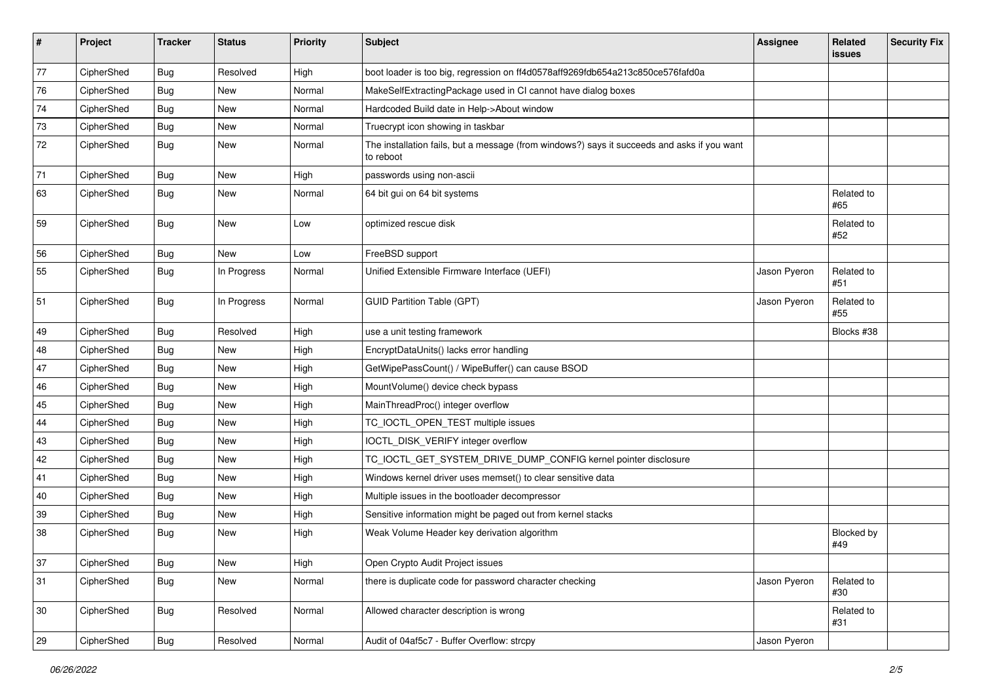| #  | Project    | <b>Tracker</b> | <b>Status</b> | <b>Priority</b> | Subject                                                                                                  | <b>Assignee</b> | Related<br><b>issues</b> | <b>Security Fix</b> |
|----|------------|----------------|---------------|-----------------|----------------------------------------------------------------------------------------------------------|-----------------|--------------------------|---------------------|
| 77 | CipherShed | <b>Bug</b>     | Resolved      | High            | boot loader is too big, regression on ff4d0578aff9269fdb654a213c850ce576fafd0a                           |                 |                          |                     |
| 76 | CipherShed | <b>Bug</b>     | New           | Normal          | MakeSelfExtractingPackage used in CI cannot have dialog boxes                                            |                 |                          |                     |
| 74 | CipherShed | <b>Bug</b>     | New           | Normal          | Hardcoded Build date in Help->About window                                                               |                 |                          |                     |
| 73 | CipherShed | <b>Bug</b>     | <b>New</b>    | Normal          | Truecrypt icon showing in taskbar                                                                        |                 |                          |                     |
| 72 | CipherShed | Bug            | New           | Normal          | The installation fails, but a message (from windows?) says it succeeds and asks if you want<br>to reboot |                 |                          |                     |
| 71 | CipherShed | Bug            | New           | High            | passwords using non-ascii                                                                                |                 |                          |                     |
| 63 | CipherShed | <b>Bug</b>     | <b>New</b>    | Normal          | 64 bit gui on 64 bit systems                                                                             |                 | Related to<br>#65        |                     |
| 59 | CipherShed | <b>Bug</b>     | New           | Low             | optimized rescue disk                                                                                    |                 | Related to<br>#52        |                     |
| 56 | CipherShed | <b>Bug</b>     | <b>New</b>    | Low             | FreeBSD support                                                                                          |                 |                          |                     |
| 55 | CipherShed | <b>Bug</b>     | In Progress   | Normal          | Unified Extensible Firmware Interface (UEFI)                                                             | Jason Pyeron    | Related to<br>#51        |                     |
| 51 | CipherShed | <b>Bug</b>     | In Progress   | Normal          | <b>GUID Partition Table (GPT)</b>                                                                        | Jason Pyeron    | Related to<br>#55        |                     |
| 49 | CipherShed | <b>Bug</b>     | Resolved      | High            | use a unit testing framework                                                                             |                 | Blocks #38               |                     |
| 48 | CipherShed | <b>Bug</b>     | New           | High            | EncryptDataUnits() lacks error handling                                                                  |                 |                          |                     |
| 47 | CipherShed | Bug            | <b>New</b>    | High            | GetWipePassCount() / WipeBuffer() can cause BSOD                                                         |                 |                          |                     |
| 46 | CipherShed | <b>Bug</b>     | <b>New</b>    | High            | MountVolume() device check bypass                                                                        |                 |                          |                     |
| 45 | CipherShed | Bug            | New           | High            | MainThreadProc() integer overflow                                                                        |                 |                          |                     |
| 44 | CipherShed | <b>Bug</b>     | <b>New</b>    | High            | TC_IOCTL_OPEN_TEST multiple issues                                                                       |                 |                          |                     |
| 43 | CipherShed | Bug            | New           | High            | IOCTL_DISK_VERIFY integer overflow                                                                       |                 |                          |                     |
| 42 | CipherShed | <b>Bug</b>     | <b>New</b>    | High            | TC_IOCTL_GET_SYSTEM_DRIVE_DUMP_CONFIG kernel pointer disclosure                                          |                 |                          |                     |
| 41 | CipherShed | <b>Bug</b>     | <b>New</b>    | High            | Windows kernel driver uses memset() to clear sensitive data                                              |                 |                          |                     |
| 40 | CipherShed | <b>Bug</b>     | New           | High            | Multiple issues in the bootloader decompressor                                                           |                 |                          |                     |
| 39 | CipherShed | <b>Bug</b>     | New           | High            | Sensitive information might be paged out from kernel stacks                                              |                 |                          |                     |
| 38 | CipherShed | Bug            | New           | High            | Weak Volume Header key derivation algorithm                                                              |                 | Blocked by<br>#49        |                     |
| 37 | CipherShed | Bug            | New           | High            | Open Crypto Audit Project issues                                                                         |                 |                          |                     |
| 31 | CipherShed | <b>Bug</b>     | New           | Normal          | there is duplicate code for password character checking                                                  | Jason Pyeron    | Related to<br>#30        |                     |
| 30 | CipherShed | <b>Bug</b>     | Resolved      | Normal          | Allowed character description is wrong                                                                   |                 | Related to<br>#31        |                     |
| 29 | CipherShed | Bug            | Resolved      | Normal          | Audit of 04af5c7 - Buffer Overflow: strcpy                                                               | Jason Pyeron    |                          |                     |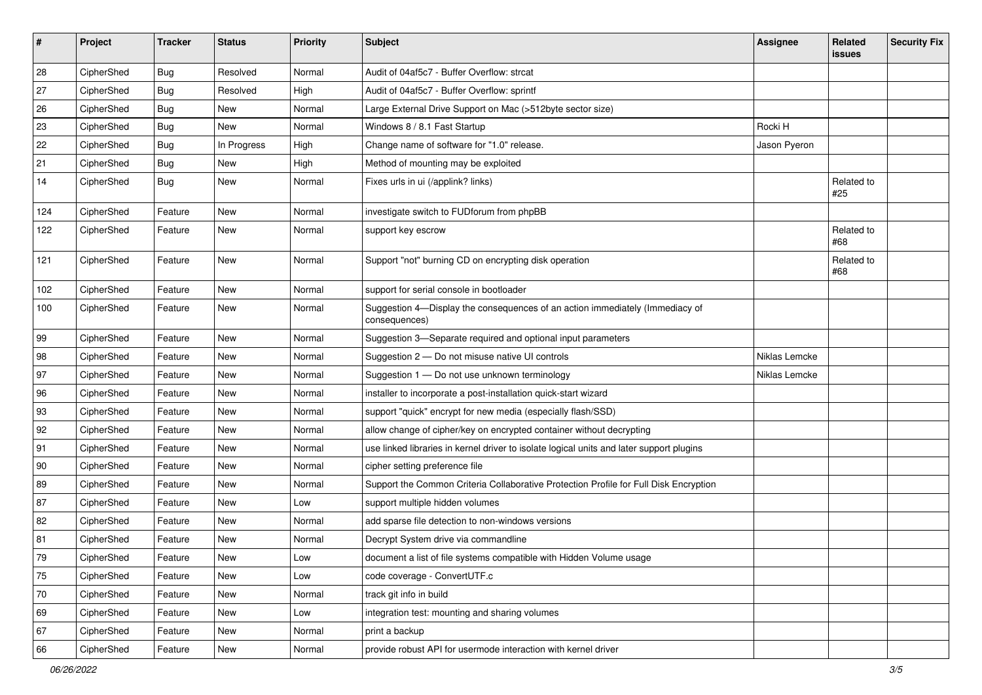| #   | Project    | <b>Tracker</b> | <b>Status</b> | Priority | <b>Subject</b>                                                                                | <b>Assignee</b> | Related<br>issues | <b>Security Fix</b> |
|-----|------------|----------------|---------------|----------|-----------------------------------------------------------------------------------------------|-----------------|-------------------|---------------------|
| 28  | CipherShed | <b>Bug</b>     | Resolved      | Normal   | Audit of 04af5c7 - Buffer Overflow: strcat                                                    |                 |                   |                     |
| 27  | CipherShed | <b>Bug</b>     | Resolved      | High     | Audit of 04af5c7 - Buffer Overflow: sprintf                                                   |                 |                   |                     |
| 26  | CipherShed | Bug            | New           | Normal   | Large External Drive Support on Mac (>512byte sector size)                                    |                 |                   |                     |
| 23  | CipherShed | <b>Bug</b>     | <b>New</b>    | Normal   | Windows 8 / 8.1 Fast Startup                                                                  | Rocki H         |                   |                     |
| 22  | CipherShed | Bug            | In Progress   | High     | Change name of software for "1.0" release.                                                    | Jason Pyeron    |                   |                     |
| 21  | CipherShed | <b>Bug</b>     | New           | High     | Method of mounting may be exploited                                                           |                 |                   |                     |
| 14  | CipherShed | Bug            | New           | Normal   | Fixes urls in ui (/applink? links)                                                            |                 | Related to<br>#25 |                     |
| 124 | CipherShed | Feature        | New           | Normal   | investigate switch to FUDforum from phpBB                                                     |                 |                   |                     |
| 122 | CipherShed | Feature        | New           | Normal   | support key escrow                                                                            |                 | Related to<br>#68 |                     |
| 121 | CipherShed | Feature        | <b>New</b>    | Normal   | Support "not" burning CD on encrypting disk operation                                         |                 | Related to<br>#68 |                     |
| 102 | CipherShed | Feature        | New           | Normal   | support for serial console in bootloader                                                      |                 |                   |                     |
| 100 | CipherShed | Feature        | New           | Normal   | Suggestion 4-Display the consequences of an action immediately (Immediacy of<br>consequences) |                 |                   |                     |
| 99  | CipherShed | Feature        | New           | Normal   | Suggestion 3-Separate required and optional input parameters                                  |                 |                   |                     |
| 98  | CipherShed | Feature        | New           | Normal   | Suggestion 2 - Do not misuse native UI controls                                               | Niklas Lemcke   |                   |                     |
| 97  | CipherShed | Feature        | New           | Normal   | Suggestion 1 - Do not use unknown terminology                                                 | Niklas Lemcke   |                   |                     |
| 96  | CipherShed | Feature        | New           | Normal   | installer to incorporate a post-installation quick-start wizard                               |                 |                   |                     |
| 93  | CipherShed | Feature        | New           | Normal   | support "quick" encrypt for new media (especially flash/SSD)                                  |                 |                   |                     |
| 92  | CipherShed | Feature        | New           | Normal   | allow change of cipher/key on encrypted container without decrypting                          |                 |                   |                     |
| 91  | CipherShed | Feature        | New           | Normal   | use linked libraries in kernel driver to isolate logical units and later support plugins      |                 |                   |                     |
| 90  | CipherShed | Feature        | New           | Normal   | cipher setting preference file                                                                |                 |                   |                     |
| 89  | CipherShed | Feature        | <b>New</b>    | Normal   | Support the Common Criteria Collaborative Protection Profile for Full Disk Encryption         |                 |                   |                     |
| 87  | CipherShed | Feature        | New           | Low      | support multiple hidden volumes                                                               |                 |                   |                     |
| 82  | CipherShed | Feature        | New           | Normal   | add sparse file detection to non-windows versions                                             |                 |                   |                     |
| 81  | CipherShed | Feature        | New           | Normal   | Decrypt System drive via commandline                                                          |                 |                   |                     |
| 79  | CipherShed | Feature        | New           | Low      | document a list of file systems compatible with Hidden Volume usage                           |                 |                   |                     |
| 75  | CipherShed | Feature        | New           | Low      | code coverage - ConvertUTF.c                                                                  |                 |                   |                     |
| 70  | CipherShed | Feature        | New           | Normal   | track git info in build                                                                       |                 |                   |                     |
| 69  | CipherShed | Feature        | New           | Low      | integration test: mounting and sharing volumes                                                |                 |                   |                     |
| 67  | CipherShed | Feature        | New           | Normal   | print a backup                                                                                |                 |                   |                     |
| 66  | CipherShed | Feature        | New           | Normal   | provide robust API for usermode interaction with kernel driver                                |                 |                   |                     |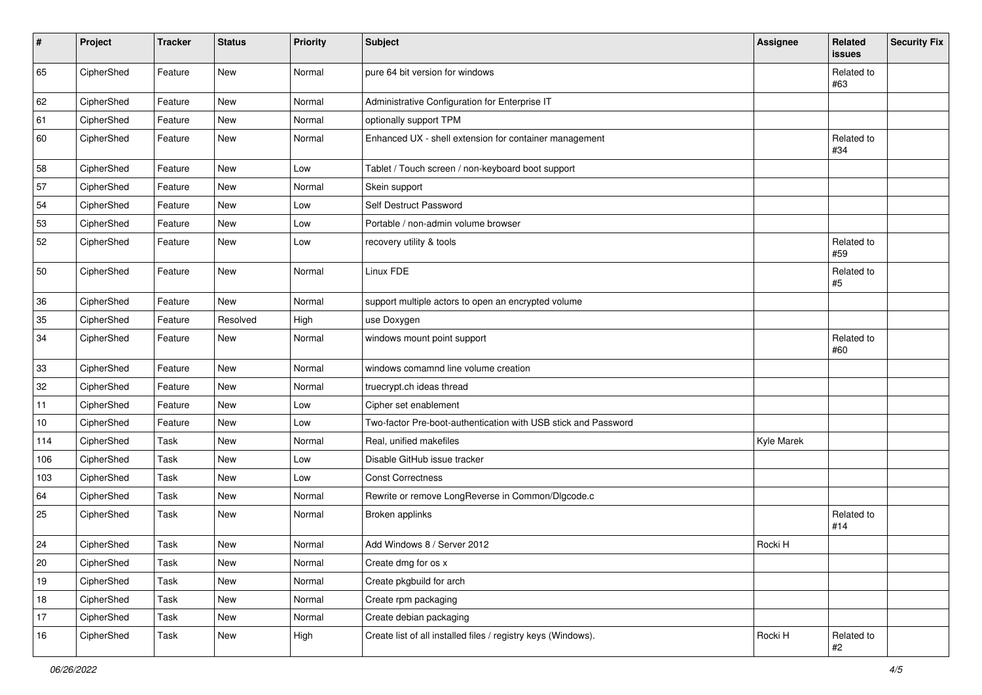| $\sharp$ | Project    | <b>Tracker</b> | <b>Status</b> | Priority | <b>Subject</b>                                                 | <b>Assignee</b>   | Related<br>issues   | <b>Security Fix</b> |
|----------|------------|----------------|---------------|----------|----------------------------------------------------------------|-------------------|---------------------|---------------------|
| 65       | CipherShed | Feature        | New           | Normal   | pure 64 bit version for windows                                |                   | Related to<br>#63   |                     |
| 62       | CipherShed | Feature        | New           | Normal   | Administrative Configuration for Enterprise IT                 |                   |                     |                     |
| 61       | CipherShed | Feature        | New           | Normal   | optionally support TPM                                         |                   |                     |                     |
| 60       | CipherShed | Feature        | New           | Normal   | Enhanced UX - shell extension for container management         |                   | Related to<br>#34   |                     |
| 58       | CipherShed | Feature        | New           | Low      | Tablet / Touch screen / non-keyboard boot support              |                   |                     |                     |
| 57       | CipherShed | Feature        | <b>New</b>    | Normal   | Skein support                                                  |                   |                     |                     |
| 54       | CipherShed | Feature        | New           | Low      | Self Destruct Password                                         |                   |                     |                     |
| 53       | CipherShed | Feature        | New           | Low      | Portable / non-admin volume browser                            |                   |                     |                     |
| 52       | CipherShed | Feature        | New           | Low      | recovery utility & tools                                       |                   | Related to<br>#59   |                     |
| 50       | CipherShed | Feature        | New           | Normal   | Linux FDE                                                      |                   | Related to<br>$\#5$ |                     |
| 36       | CipherShed | Feature        | <b>New</b>    | Normal   | support multiple actors to open an encrypted volume            |                   |                     |                     |
| 35       | CipherShed | Feature        | Resolved      | High     | use Doxygen                                                    |                   |                     |                     |
| 34       | CipherShed | Feature        | New           | Normal   | windows mount point support                                    |                   | Related to<br>#60   |                     |
| 33       | CipherShed | Feature        | New           | Normal   | windows comamnd line volume creation                           |                   |                     |                     |
| 32       | CipherShed | Feature        | New           | Normal   | truecrypt.ch ideas thread                                      |                   |                     |                     |
| 11       | CipherShed | Feature        | New           | Low      | Cipher set enablement                                          |                   |                     |                     |
| 10       | CipherShed | Feature        | New           | Low      | Two-factor Pre-boot-authentication with USB stick and Password |                   |                     |                     |
| 114      | CipherShed | Task           | New           | Normal   | Real, unified makefiles                                        | <b>Kyle Marek</b> |                     |                     |
| 106      | CipherShed | Task           | New           | Low      | Disable GitHub issue tracker                                   |                   |                     |                     |
| 103      | CipherShed | Task           | New           | Low      | <b>Const Correctness</b>                                       |                   |                     |                     |
| 64       | CipherShed | Task           | New           | Normal   | Rewrite or remove LongReverse in Common/Dlgcode.c              |                   |                     |                     |
| 25       | CipherShed | Task           | New           | Normal   | Broken applinks                                                |                   | Related to<br>#14   |                     |
| 24       | CipherShed | Task           | <b>New</b>    | Normal   | Add Windows 8 / Server 2012                                    | Rocki H           |                     |                     |
| 20       | CipherShed | Task           | New           | Normal   | Create dmg for os x                                            |                   |                     |                     |
| $19$     | CipherShed | Task           | New           | Normal   | Create pkgbuild for arch                                       |                   |                     |                     |
| $18\,$   | CipherShed | Task           | New           | Normal   | Create rpm packaging                                           |                   |                     |                     |
| 17       | CipherShed | Task           | New           | Normal   | Create debian packaging                                        |                   |                     |                     |
| 16       | CipherShed | Task           | New           | High     | Create list of all installed files / registry keys (Windows).  | Rocki H           | Related to<br>#2    |                     |